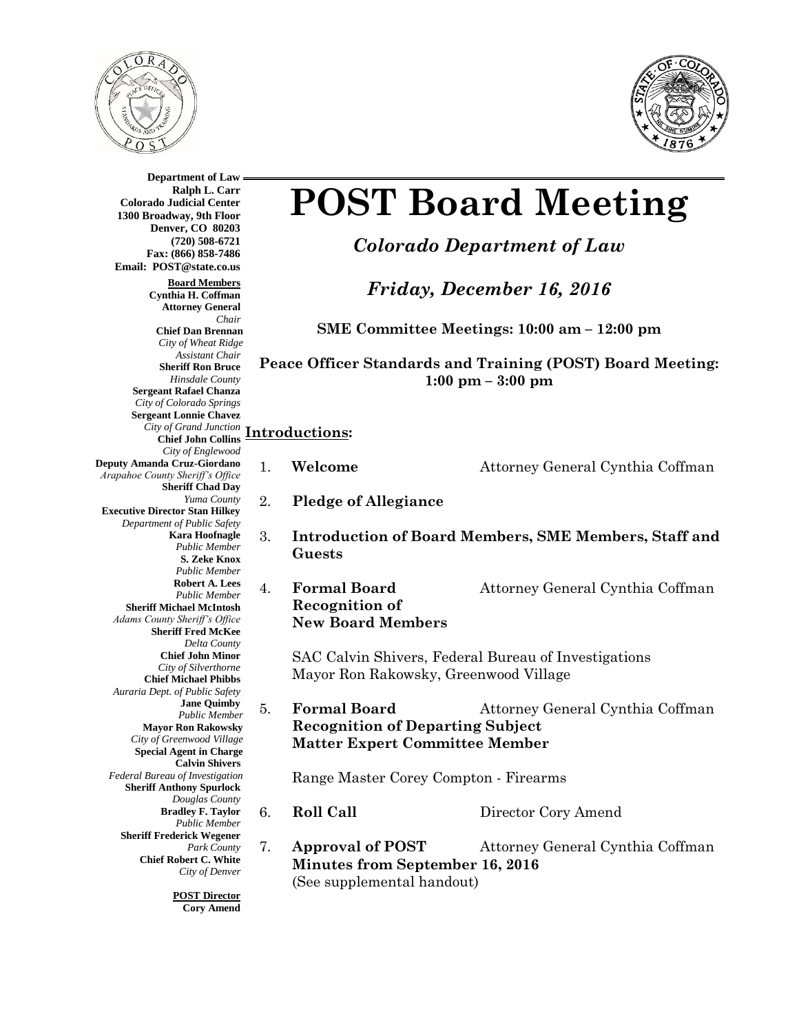



**Department of Law Ralph L. Carr Colorado Judicial Center 1300 Broadway, 9th Floor Denver, CO 80203 (720) 508-6721 Fax: (866) 858-7486 Email: POST@state.co.us Board Members Cynthia H. Coffman Attorney General** *Chair* **Chief Dan Brennan** *City of Wheat Ridge Assistant Chair* **Sheriff Ron Bruce** *Hinsdale County* **Sergeant Rafael Chanza** *City of Colorado Springs* **Sergeant Lonnie Chavez** *City of Grand Junction* **Chief John Collins Introductions:** *City of Englewood* **Deputy Amanda Cruz-Giordano** *Arapahoe County Sheriff's Office* **Sheriff Chad Day** *Yuma County* **Executive Director Stan Hilkey** *Department of Public Safety* **Kara Hoofnagle** *Public Member* **S. Zeke Knox** *Public Member* **Robert A. Lees** *Public Member* **Sheriff Michael McIntosh** *Adams County Sheriff's Office* **Sheriff Fred McKee** *Delta County* **Chief John Minor** *City of Silverthorne* **Chief Michael Phibbs** *Auraria Dept. of Public Safety* **Jane Quimby** *Public Member* **Mayor Ron Rakowsky** *City of Greenwood Village* **Special Agent in Charge Calvin Shivers** *Federal Bureau of Investigation*  **Sheriff Anthony Spurlock** *Douglas County* **Bradley F. Taylor** *Public Member* **Sheriff Frederick Wegener** *Park County* **Chief Robert C. White** *City of Denver*

**POST Board Meeting**

*Colorado Department of Law*

*Friday, December 16, 2016*

**SME Committee Meetings: 10:00 am – 12:00 pm**

**Peace Officer Standards and Training (POST) Board Meeting: 1:00 pm – 3:00 pm**

1. **Welcome** Attorney General Cynthia Coffman

- 2. **Pledge of Allegiance**
- 3. **Introduction of Board Members, SME Members, Staff and Guests**
- 4. **Formal Board** Attorney General Cynthia Coffman **Recognition of New Board Members**

SAC Calvin Shivers, Federal Bureau of Investigations Mayor Ron Rakowsky, Greenwood Village

5. **Formal Board** Attorney General Cynthia Coffman **Recognition of Departing Subject Matter Expert Committee Member**

Range Master Corey Compton - Firearms

- 
- 6. **Roll Call** Director Cory Amend
- 7. **Approval of POST** Attorney General Cynthia Coffman **Minutes from September 16, 2016** (See supplemental handout)

**POST Director Cory Amend**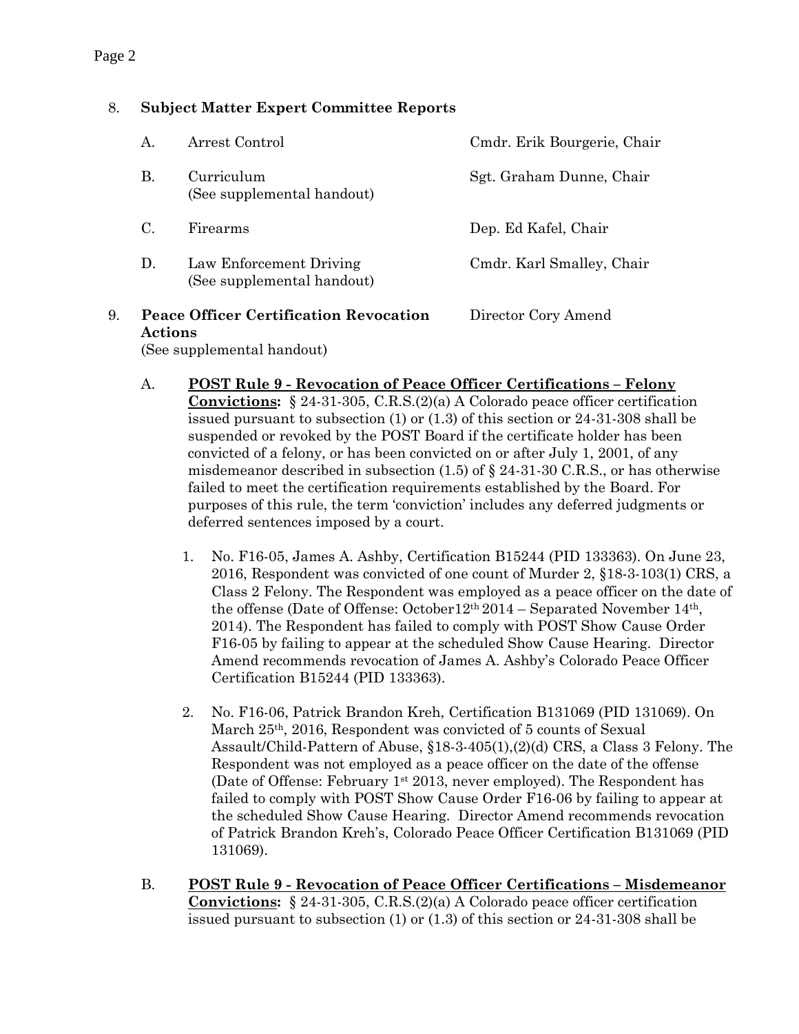### 8. **Subject Matter Expert Committee Reports**

| 9. |                | <b>Peace Officer Certification Revocation</b>         | Director Cory Amend         |
|----|----------------|-------------------------------------------------------|-----------------------------|
|    | $\mathbf{D}$ . | Law Enforcement Driving<br>(See supplemental handout) | Cmdr. Karl Smalley, Chair   |
|    | C.             | Firearms                                              | Dep. Ed Kafel, Chair        |
|    | В.             | Curriculum<br>(See supplemental handout)              | Sgt. Graham Dunne, Chair    |
|    | A.             | Arrest Control                                        | Cmdr. Erik Bourgerie, Chair |

## **Actions** (See supplemental handout)

- A. **POST Rule 9 - Revocation of Peace Officer Certifications – Felony Convictions:** § 24-31-305, C.R.S.(2)(a) A Colorado peace officer certification issued pursuant to subsection (1) or (1.3) of this section or 24-31-308 shall be suspended or revoked by the POST Board if the certificate holder has been convicted of a felony, or has been convicted on or after July 1, 2001, of any misdemeanor described in subsection  $(1.5)$  of  $\S$  24-31-30 C.R.S., or has otherwise failed to meet the certification requirements established by the Board. For purposes of this rule, the term 'conviction' includes any deferred judgments or deferred sentences imposed by a court.
	- 1. No. F16-05, James A. Ashby, Certification B15244 (PID 133363). On June 23, 2016, Respondent was convicted of one count of Murder 2, §18-3-103(1) CRS, a Class 2 Felony. The Respondent was employed as a peace officer on the date of the offense (Date of Offense: October12th 2014 – Separated November 14th, 2014). The Respondent has failed to comply with POST Show Cause Order F16-05 by failing to appear at the scheduled Show Cause Hearing. Director Amend recommends revocation of James A. Ashby's Colorado Peace Officer Certification B15244 (PID 133363).
	- 2. No. F16-06, Patrick Brandon Kreh, Certification B131069 (PID 131069). On March 25th, 2016, Respondent was convicted of 5 counts of Sexual Assault/Child-Pattern of Abuse, §18-3-405(1),(2)(d) CRS, a Class 3 Felony. The Respondent was not employed as a peace officer on the date of the offense (Date of Offense: February 1<sup>st</sup> 2013, never employed). The Respondent has failed to comply with POST Show Cause Order F16-06 by failing to appear at the scheduled Show Cause Hearing. Director Amend recommends revocation of Patrick Brandon Kreh's, Colorado Peace Officer Certification B131069 (PID 131069).
- B. **POST Rule 9 - Revocation of Peace Officer Certifications – Misdemeanor Convictions:** § 24-31-305, C.R.S.(2)(a) A Colorado peace officer certification issued pursuant to subsection (1) or (1.3) of this section or 24-31-308 shall be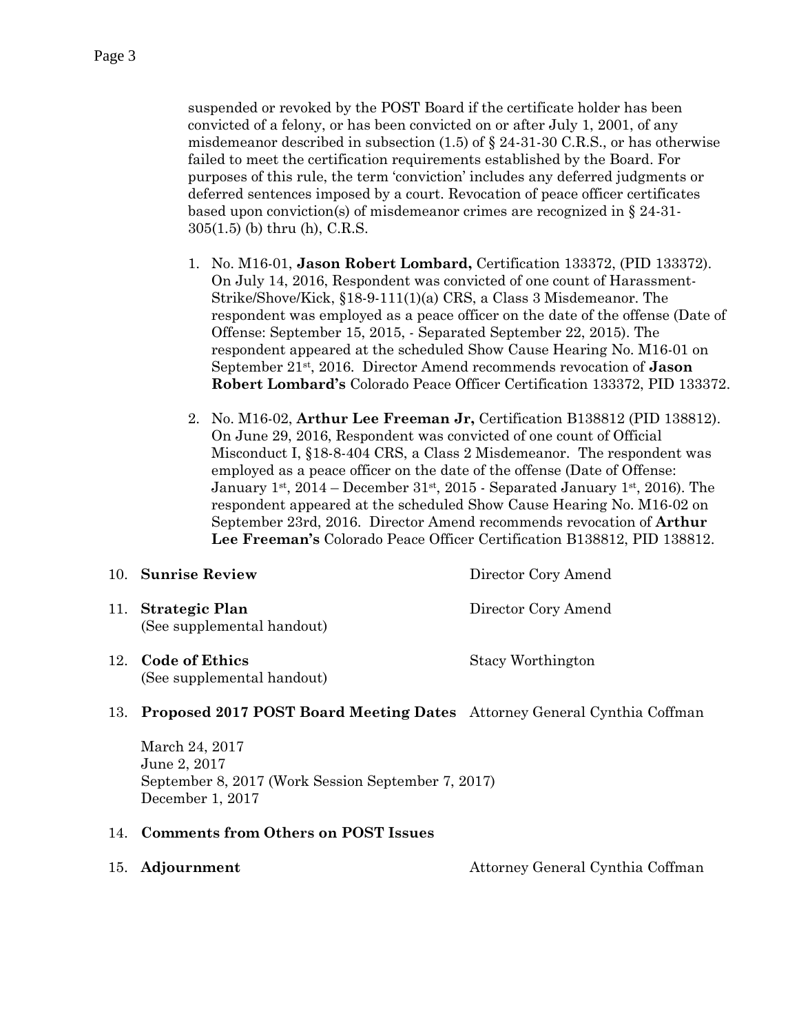suspended or revoked by the POST Board if the certificate holder has been convicted of a felony, or has been convicted on or after July 1, 2001, of any misdemeanor described in subsection  $(1.5)$  of § 24-31-30 C.R.S., or has otherwise failed to meet the certification requirements established by the Board. For purposes of this rule, the term 'conviction' includes any deferred judgments or deferred sentences imposed by a court. Revocation of peace officer certificates based upon conviction(s) of misdemeanor crimes are recognized in § 24-31- 305(1.5) (b) thru (h), C.R.S.

- 1. No. M16-01, **Jason Robert Lombard,** Certification 133372, (PID 133372). On July 14, 2016, Respondent was convicted of one count of Harassment-Strike/Shove/Kick, §18-9-111(1)(a) CRS, a Class 3 Misdemeanor. The respondent was employed as a peace officer on the date of the offense (Date of Offense: September 15, 2015, - Separated September 22, 2015). The respondent appeared at the scheduled Show Cause Hearing No. M16-01 on September 21st, 2016. Director Amend recommends revocation of **Jason Robert Lombard's** Colorado Peace Officer Certification 133372, PID 133372.
- 2. No. M16-02, **Arthur Lee Freeman Jr,** Certification B138812 (PID 138812). On June 29, 2016, Respondent was convicted of one count of Official Misconduct I, §18-8-404 CRS, a Class 2 Misdemeanor. The respondent was employed as a peace officer on the date of the offense (Date of Offense: January 1st,  $2014$  – December  $31st$ ,  $2015$  - Separated January 1st,  $2016$ ). The respondent appeared at the scheduled Show Cause Hearing No. M16-02 on September 23rd, 2016. Director Amend recommends revocation of **Arthur Lee Freeman's** Colorado Peace Officer Certification B138812, PID 138812.

| 10. Sunrise Review                               | Director Cory Amend |
|--------------------------------------------------|---------------------|
| 11. Strategic Plan<br>(See supplemental handout) | Director Cory Amend |
| 12. Code of Ethics<br>(See supplemental handout) | Stacy Worthington   |

#### 13. **Proposed 2017 POST Board Meeting Dates** Attorney General Cynthia Coffman

March 24, 2017 June 2, 2017 September 8, 2017 (Work Session September 7, 2017) December 1, 2017

#### 14. **Comments from Others on POST Issues**

15. **Adjournment** Attorney General Cynthia Coffman